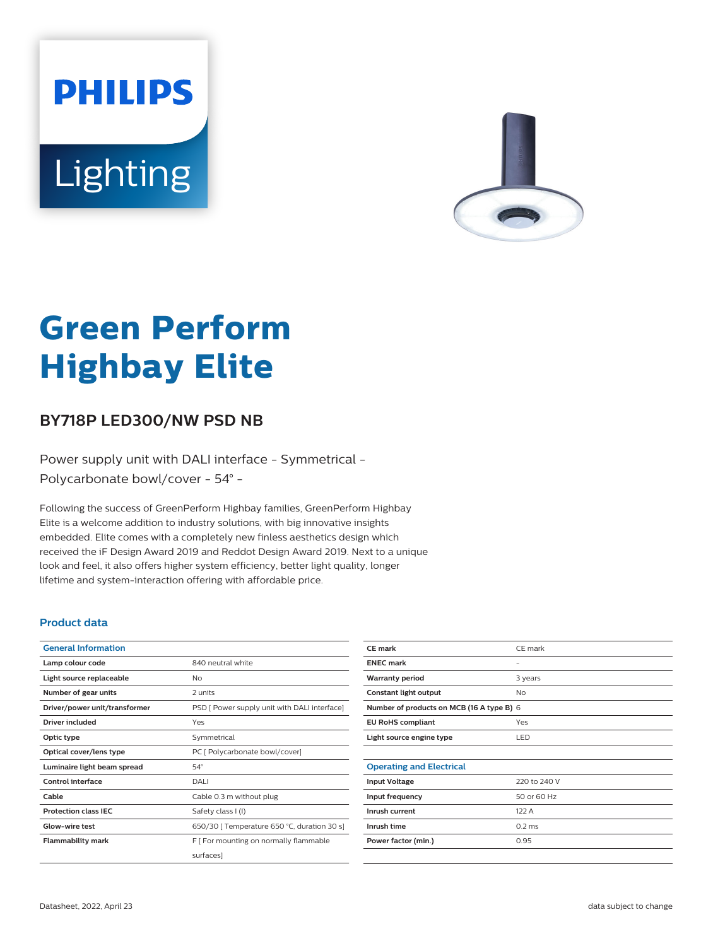# **PHILIPS** Lighting



# **Green Perform Highbay Elite**

## **BY718P LED300/NW PSD NB**

Power supply unit with DALI interface - Symmetrical - Polycarbonate bowl/cover - 54° -

Following the success of GreenPerform Highbay families, GreenPerform Highbay Elite is a welcome addition to industry solutions, with big innovative insights embedded. Elite comes with a completely new finless aesthetics design which received the iF Design Award 2019 and Reddot Design Award 2019. Next to a unique look and feel, it also offers higher system efficiency, better light quality, longer lifetime and system-interaction offering with affordable price.

#### **Product data**

| <b>General Information</b>    |                                              |
|-------------------------------|----------------------------------------------|
| Lamp colour code              | 840 neutral white                            |
| Light source replaceable      | Nο                                           |
| Number of gear units          | 2 units                                      |
| Driver/power unit/transformer | PSD [ Power supply unit with DALI interface] |
| Driver included               | Yes                                          |
| Optic type                    | Symmetrical                                  |
| Optical cover/lens type       | PC [ Polycarbonate bowl/cover]               |
| Luminaire light beam spread   | $54^\circ$                                   |
| Control interface             | DALI                                         |
| Cable                         | Cable 0.3 m without plug                     |
| <b>Protection class IEC</b>   | Safety class I (I)                           |
| Glow-wire test                | 650/30   Temperature 650 °C, duration 30 s]  |
| <b>Flammability mark</b>      | F   For mounting on normally flammable       |
|                               | surfaces]                                    |
|                               |                                              |

| CE mark                                   | CE mark      |  |
|-------------------------------------------|--------------|--|
| <b>ENEC mark</b>                          |              |  |
| <b>Warranty period</b>                    | 3 years      |  |
| Constant light output                     | <b>No</b>    |  |
| Number of products on MCB (16 A type B) 6 |              |  |
| <b>EU RoHS compliant</b>                  | Yes          |  |
| Light source engine type                  | LED          |  |
|                                           |              |  |
| <b>Operating and Electrical</b>           |              |  |
| <b>Input Voltage</b>                      | 220 to 240 V |  |
| Input frequency                           | 50 or 60 Hz  |  |
| Inrush current                            | 122 A        |  |
| Inrush time                               | $0.2$ ms     |  |
| Power factor (min.)                       | 0.95         |  |
|                                           |              |  |